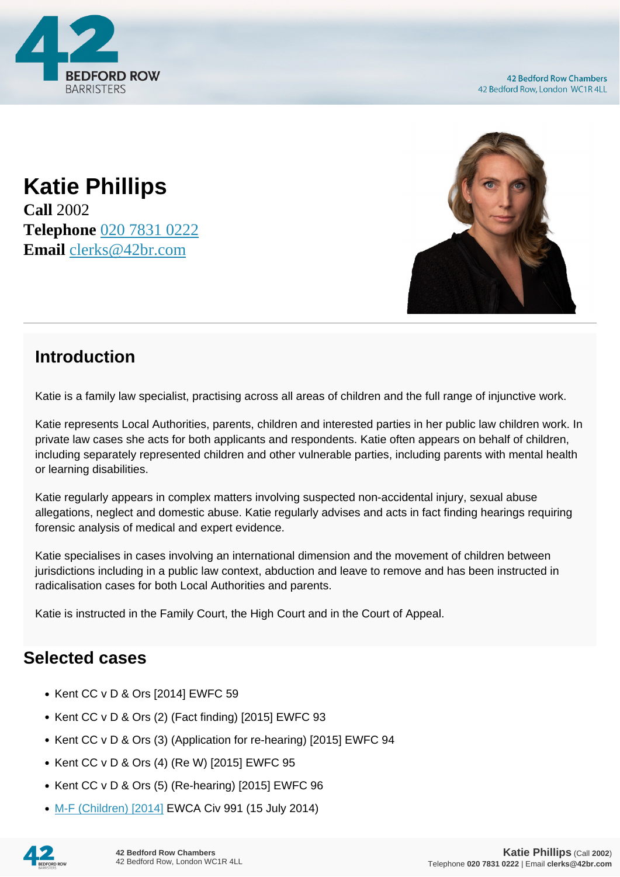

**42 Bedford Row Chambers** 42 Bedford Row, London WC1R 4LL

**Katie Phillips Call** 2002 **Telephone** [020 7831 0222](https://pdf.codeshore.co/_42br/tel:020 7831 0222) **Email** [clerks@42br.com](mailto:clerks@42br.com)



## **Introduction**

Katie is a family law specialist, practising across all areas of children and the full range of injunctive work.

Katie represents Local Authorities, parents, children and interested parties in her public law children work. In private law cases she acts for both applicants and respondents. Katie often appears on behalf of children, including separately represented children and other vulnerable parties, including parents with mental health or learning disabilities.

Katie regularly appears in complex matters involving suspected non-accidental injury, sexual abuse allegations, neglect and domestic abuse. Katie regularly advises and acts in fact finding hearings requiring forensic analysis of medical and expert evidence.

Katie specialises in cases involving an international dimension and the movement of children between jurisdictions including in a public law context, abduction and leave to remove and has been instructed in radicalisation cases for both Local Authorities and parents.

Katie is instructed in the Family Court, the High Court and in the Court of Appeal.

## **Selected cases**

- Kent CC v D & Ors [2014] EWFC 59
- Kent CC v D & Ors (2) (Fact finding) [2015] EWFC 93
- Kent CC v D & Ors (3) (Application for re-hearing) [2015] EWFC 94
- Kent CC v D & Ors (4) (Re W) [2015] EWFC 95
- $\bullet$  Kent CC v D & Ors (5) (Re-hearing) [2015] EWFC 96
- [M-F \(Children\) \[2014\]](http://www.bailii.org/ew/cases/EWCA/Civ/2014/991.html) EWCA Civ 991 (15 July 2014)